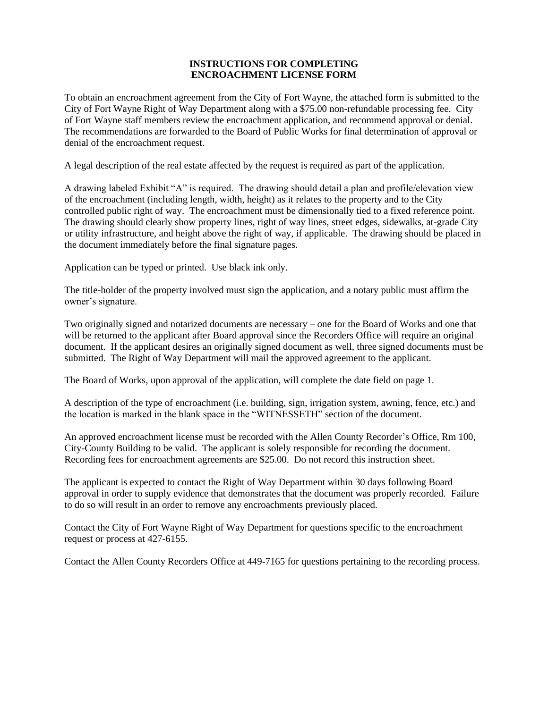# **INSTRUCTIONS FOR COMPLETING ENCROACHMENT LICENSE FORM**

To obtain an encroachment agreement from the City of Fort Wayne, the attached form is submitted to the City of Fort Wayne Right of Way Department along with a \$75.00 non-refundable processing fee. City of Fort Wayne staff members review the encroachment application, and recommend approval or denial. The recommendations are forwarded to the Board of Public Works for final determination of approval or denial of the encroachment request.

A legal description of the real estate affected by the request is required as part of the application.

A drawing labeled Exhibit "A" is required. The drawing should detail a plan and profile/elevation view of the encroachment (including length, width, height) as it relates to the property and to the City controlled public right of way. The encroachment must be dimensionally tied to a fixed reference point. The drawing should clearly show property lines, right of way lines, street edges, sidewalks, at-grade City or utility infrastructure, and height above the right of way, if applicable. The drawing should be placed in the document immediately before the final signature pages.

Application can be typed or printed. Use black ink only.

The title-holder of the property involved must sign the application, and a notary public must affirm the owner's signature.

Two originally signed and notarized documents are necessary – one for the Board of Works and one that will be returned to the applicant after Board approval since the Recorders Office will require an original document. If the applicant desires an originally signed document as well, three signed documents must be submitted. The Right of Way Department will mail the approved agreement to the applicant.

The Board of Works, upon approval of the application, will complete the date field on page 1.

A description of the type of encroachment (i.e. building, sign, irrigation system, awning, fence, etc.) and the location is marked in the blank space in the "WITNESSETH" section of the document.

An approved encroachment license must be recorded with the Allen County Recorder's Office, Rm 100, City-County Building to be valid. The applicant is solely responsible for recording the document. Recording fees for encroachment agreements are \$25.00. Do not record this instruction sheet.

The applicant is expected to contact the Right of Way Department within 30 days following Board approval in order to supply evidence that demonstrates that the document was properly recorded. Failure to do so will result in an order to remove any encroachments previously placed.

Contact the City of Fort Wayne Right of Way Department for questions specific to the encroachment request or process at 427-6155.

Contact the Allen County Recorders Office at 449-7165 for questions pertaining to the recording process.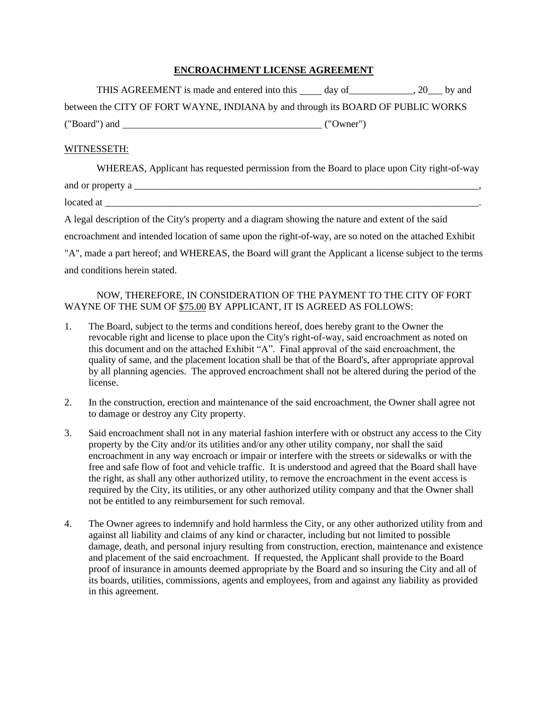# **ENCROACHMENT LICENSE AGREEMENT**

| THIS AGREEMENT is made and entered into this day of 20 by and                    |           |  |
|----------------------------------------------------------------------------------|-----------|--|
| between the CITY OF FORT WAYNE, INDIANA by and through its BOARD OF PUBLIC WORKS |           |  |
| ("Board") and                                                                    | ("Owner") |  |

# WITNESSETH:

| WHEREAS, Applicant has requested permission from the Board to place upon City right-of-way             |  |
|--------------------------------------------------------------------------------------------------------|--|
| and or property a                                                                                      |  |
| located at                                                                                             |  |
| A legal description of the City's property and a diagram showing the nature and extent of the said     |  |
| encroachment and intended location of same upon the right-of-way, are so noted on the attached Exhibit |  |
|                                                                                                        |  |

"A", made a part hereof; and WHEREAS, the Board will grant the Applicant a license subject to the terms and conditions herein stated.

# NOW, THEREFORE, IN CONSIDERATION OF THE PAYMENT TO THE CITY OF FORT WAYNE OF THE SUM OF \$75.00 BY APPLICANT, IT IS AGREED AS FOLLOWS:

- 1. The Board, subject to the terms and conditions hereof, does hereby grant to the Owner the revocable right and license to place upon the City's right-of-way, said encroachment as noted on this document and on the attached Exhibit "A". Final approval of the said encroachment, the quality of same, and the placement location shall be that of the Board's, after appropriate approval by all planning agencies. The approved encroachment shall not be altered during the period of the license.
- 2. In the construction, erection and maintenance of the said encroachment, the Owner shall agree not to damage or destroy any City property.
- 3. Said encroachment shall not in any material fashion interfere with or obstruct any access to the City property by the City and/or its utilities and/or any other utility company, nor shall the said encroachment in any way encroach or impair or interfere with the streets or sidewalks or with the free and safe flow of foot and vehicle traffic. It is understood and agreed that the Board shall have the right, as shall any other authorized utility, to remove the encroachment in the event access is required by the City, its utilities, or any other authorized utility company and that the Owner shall not be entitled to any reimbursement for such removal.
- 4. The Owner agrees to indemnify and hold harmless the City, or any other authorized utility from and against all liability and claims of any kind or character, including but not limited to possible damage, death, and personal injury resulting from construction, erection, maintenance and existence and placement of the said encroachment. If requested, the Applicant shall provide to the Board proof of insurance in amounts deemed appropriate by the Board and so insuring the City and all of its boards, utilities, commissions, agents and employees, from and against any liability as provided in this agreement.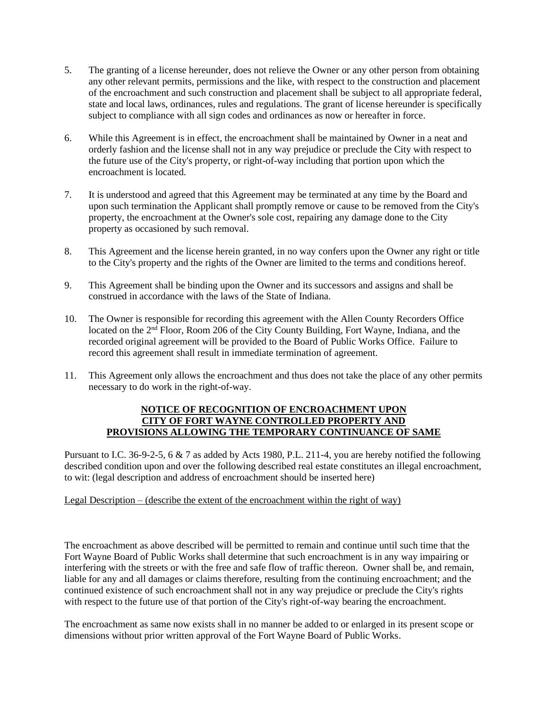- 5. The granting of a license hereunder, does not relieve the Owner or any other person from obtaining any other relevant permits, permissions and the like, with respect to the construction and placement of the encroachment and such construction and placement shall be subject to all appropriate federal, state and local laws, ordinances, rules and regulations. The grant of license hereunder is specifically subject to compliance with all sign codes and ordinances as now or hereafter in force.
- 6. While this Agreement is in effect, the encroachment shall be maintained by Owner in a neat and orderly fashion and the license shall not in any way prejudice or preclude the City with respect to the future use of the City's property, or right-of-way including that portion upon which the encroachment is located.
- 7. It is understood and agreed that this Agreement may be terminated at any time by the Board and upon such termination the Applicant shall promptly remove or cause to be removed from the City's property, the encroachment at the Owner's sole cost, repairing any damage done to the City property as occasioned by such removal.
- 8. This Agreement and the license herein granted, in no way confers upon the Owner any right or title to the City's property and the rights of the Owner are limited to the terms and conditions hereof.
- 9. This Agreement shall be binding upon the Owner and its successors and assigns and shall be construed in accordance with the laws of the State of Indiana.
- 10. The Owner is responsible for recording this agreement with the Allen County Recorders Office located on the 2<sup>nd</sup> Floor, Room 206 of the City County Building, Fort Wayne, Indiana, and the recorded original agreement will be provided to the Board of Public Works Office. Failure to record this agreement shall result in immediate termination of agreement.
- 11. This Agreement only allows the encroachment and thus does not take the place of any other permits necessary to do work in the right-of-way.

#### **NOTICE OF RECOGNITION OF ENCROACHMENT UPON CITY OF FORT WAYNE CONTROLLED PROPERTY AND PROVISIONS ALLOWING THE TEMPORARY CONTINUANCE OF SAME**

Pursuant to I.C. 36-9-2-5, 6 & 7 as added by Acts 1980, P.L. 211-4, you are hereby notified the following described condition upon and over the following described real estate constitutes an illegal encroachment, to wit: (legal description and address of encroachment should be inserted here)

# Legal Description – (describe the extent of the encroachment within the right of way)

The encroachment as above described will be permitted to remain and continue until such time that the Fort Wayne Board of Public Works shall determine that such encroachment is in any way impairing or interfering with the streets or with the free and safe flow of traffic thereon. Owner shall be, and remain, liable for any and all damages or claims therefore, resulting from the continuing encroachment; and the continued existence of such encroachment shall not in any way prejudice or preclude the City's rights with respect to the future use of that portion of the City's right-of-way bearing the encroachment.

The encroachment as same now exists shall in no manner be added to or enlarged in its present scope or dimensions without prior written approval of the Fort Wayne Board of Public Works.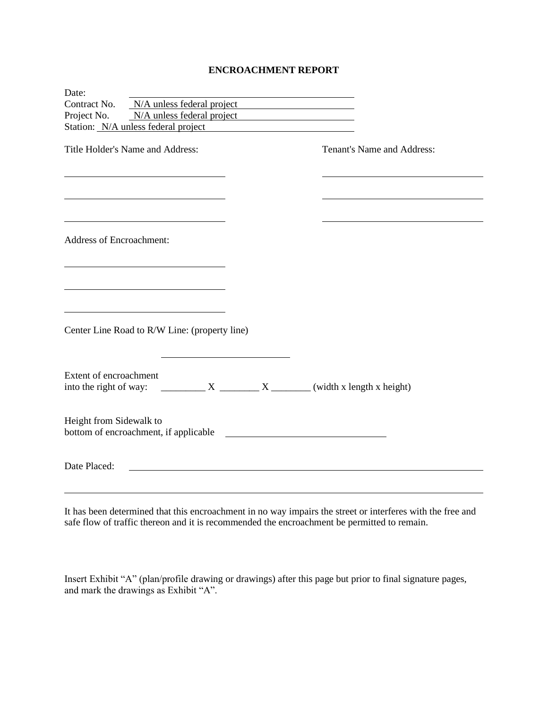# **ENCROACHMENT REPORT**

| Date:                           |                                                                              |  |                                                                                                                                                                                                                                      |                            |  |  |
|---------------------------------|------------------------------------------------------------------------------|--|--------------------------------------------------------------------------------------------------------------------------------------------------------------------------------------------------------------------------------------|----------------------------|--|--|
| Contract No.                    | N/A unless federal project                                                   |  |                                                                                                                                                                                                                                      |                            |  |  |
| Project No.                     | N/A unless federal project                                                   |  |                                                                                                                                                                                                                                      |                            |  |  |
|                                 | Station: N/A unless federal project                                          |  |                                                                                                                                                                                                                                      |                            |  |  |
|                                 | Title Holder's Name and Address:                                             |  |                                                                                                                                                                                                                                      | Tenant's Name and Address: |  |  |
|                                 |                                                                              |  |                                                                                                                                                                                                                                      |                            |  |  |
|                                 |                                                                              |  |                                                                                                                                                                                                                                      |                            |  |  |
|                                 |                                                                              |  |                                                                                                                                                                                                                                      |                            |  |  |
|                                 |                                                                              |  |                                                                                                                                                                                                                                      |                            |  |  |
|                                 |                                                                              |  |                                                                                                                                                                                                                                      |                            |  |  |
|                                 |                                                                              |  |                                                                                                                                                                                                                                      |                            |  |  |
| <b>Address of Encroachment:</b> |                                                                              |  |                                                                                                                                                                                                                                      |                            |  |  |
|                                 |                                                                              |  |                                                                                                                                                                                                                                      |                            |  |  |
|                                 |                                                                              |  |                                                                                                                                                                                                                                      |                            |  |  |
|                                 |                                                                              |  |                                                                                                                                                                                                                                      |                            |  |  |
|                                 |                                                                              |  |                                                                                                                                                                                                                                      |                            |  |  |
|                                 |                                                                              |  |                                                                                                                                                                                                                                      |                            |  |  |
|                                 |                                                                              |  |                                                                                                                                                                                                                                      |                            |  |  |
|                                 |                                                                              |  |                                                                                                                                                                                                                                      |                            |  |  |
|                                 | Center Line Road to R/W Line: (property line)                                |  |                                                                                                                                                                                                                                      |                            |  |  |
|                                 |                                                                              |  |                                                                                                                                                                                                                                      |                            |  |  |
|                                 |                                                                              |  |                                                                                                                                                                                                                                      |                            |  |  |
| Extent of encroachment          |                                                                              |  |                                                                                                                                                                                                                                      |                            |  |  |
|                                 | into the right of way: $\frac{X}{X}$ $\frac{X}{X}$ (width x length x height) |  |                                                                                                                                                                                                                                      |                            |  |  |
|                                 |                                                                              |  |                                                                                                                                                                                                                                      |                            |  |  |
|                                 |                                                                              |  |                                                                                                                                                                                                                                      |                            |  |  |
| Height from Sidewalk to         |                                                                              |  |                                                                                                                                                                                                                                      |                            |  |  |
|                                 | bottom of encroachment, if applicable                                        |  | <u>and the contract of the contract of the contract of the contract of the contract of the contract of the contract of the contract of the contract of the contract of the contract of the contract of the contract of the contr</u> |                            |  |  |
|                                 |                                                                              |  |                                                                                                                                                                                                                                      |                            |  |  |
| Date Placed:                    |                                                                              |  |                                                                                                                                                                                                                                      |                            |  |  |
|                                 |                                                                              |  |                                                                                                                                                                                                                                      |                            |  |  |
|                                 |                                                                              |  |                                                                                                                                                                                                                                      |                            |  |  |

It has been determined that this encroachment in no way impairs the street or interferes with the free and safe flow of traffic thereon and it is recommended the encroachment be permitted to remain.

Insert Exhibit "A" (plan/profile drawing or drawings) after this page but prior to final signature pages, and mark the drawings as Exhibit "A".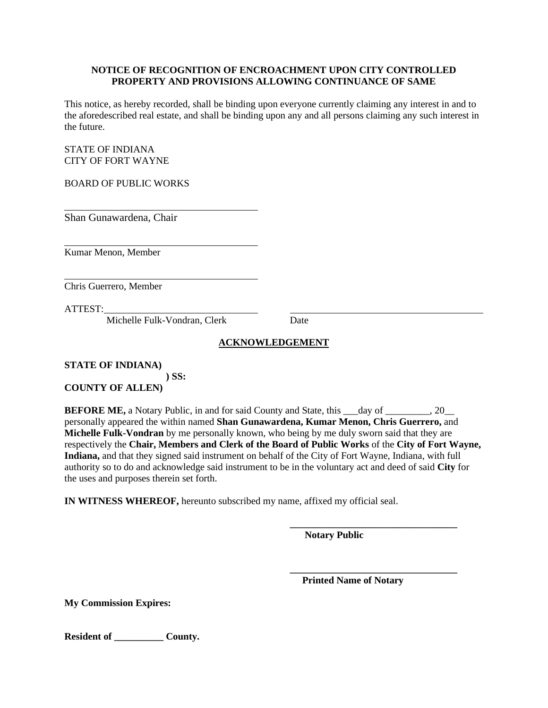#### **NOTICE OF RECOGNITION OF ENCROACHMENT UPON CITY CONTROLLED PROPERTY AND PROVISIONS ALLOWING CONTINUANCE OF SAME**

This notice, as hereby recorded, shall be binding upon everyone currently claiming any interest in and to the aforedescribed real estate, and shall be binding upon any and all persons claiming any such interest in the future.

STATE OF INDIANA CITY OF FORT WAYNE

BOARD OF PUBLIC WORKS

Shan Gunawardena, Chair

Kumar Menon, Member

Chris Guerrero, Member

ATTEST:

Michelle Fulk-Vondran, Clerk Date

# **ACKNOWLEDGEMENT**

**STATE OF INDIANA) ) SS: COUNTY OF ALLEN)**

**BEFORE ME,** a Notary Public, in and for said County and State, this  $\_\_\_\_day$  of  $\_\_\_\_\_$ , 20 personally appeared the within named **Shan Gunawardena, Kumar Menon, Chris Guerrero,** and **Michelle Fulk-Vondran** by me personally known, who being by me duly sworn said that they are respectively the **Chair, Members and Clerk of the Board of Public Works** of the **City of Fort Wayne, Indiana,** and that they signed said instrument on behalf of the City of Fort Wayne, Indiana, with full authority so to do and acknowledge said instrument to be in the voluntary act and deed of said **City** for the uses and purposes therein set forth.

**IN WITNESS WHEREOF,** hereunto subscribed my name, affixed my official seal.

 **Notary Public**

 **Printed Name of Notary**

**\_\_\_\_\_\_\_\_\_\_\_\_\_\_\_\_\_\_\_\_\_\_\_\_\_\_\_\_\_\_\_\_\_\_**

**\_\_\_\_\_\_\_\_\_\_\_\_\_\_\_\_\_\_\_\_\_\_\_\_\_\_\_\_\_\_\_\_\_\_**

**My Commission Expires:**

**Resident of \_\_\_\_\_\_\_\_\_\_ County.**